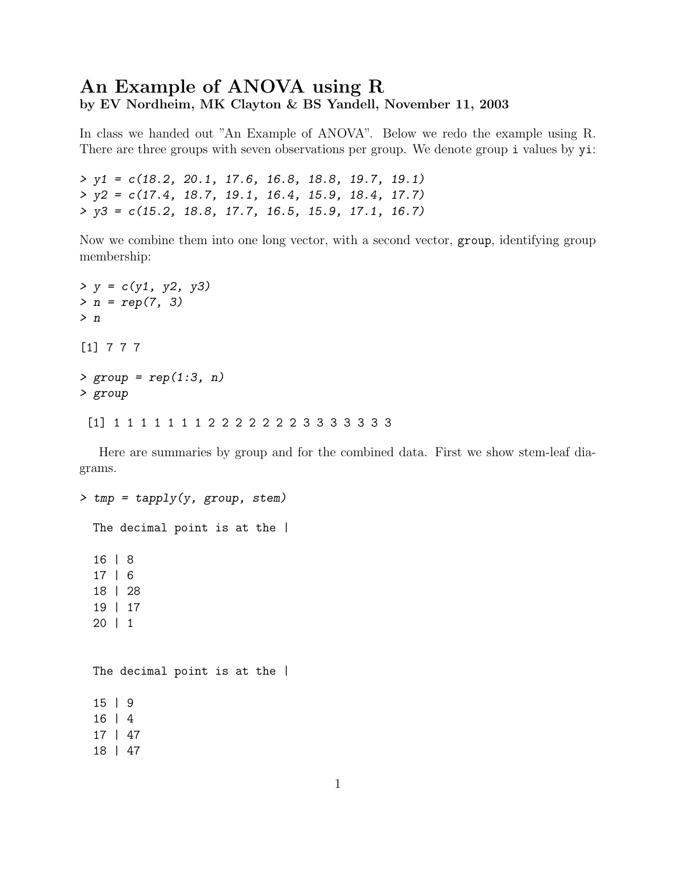## An Example of ANOVA using R by EV Nordheim, MK Clayton & BS Yandell, November 11, 2003

In class we handed out "An Example of ANOVA". Below we redo the example using R. There are three groups with seven observations per group. We denote group i values by  $y$ i:

> y1 = c(18.2, 20.1, 17.6, 16.8, 18.8, 19.7, 19.1) > y2 = c(17.4, 18.7, 19.1, 16.4, 15.9, 18.4, 17.7) > y3 = c(15.2, 18.8, 17.7, 16.5, 15.9, 17.1, 16.7)

Now we combine them into one long vector, with a second vector, group, identifying group membership:

```
> y = c(y1, y2, y3)> n = rep(7, 3)> n[1] 7 7 7
> group = rep(1:3, n)
> group
 [1] 1 1 1 1 1 1 1 2 2 2 2 2 2 2 3 3 3 3 3 3 3
```
Here are summaries by group and for the combined data. First we show stem-leaf diagrams.

```
> tmp = tapply(y, group, stem)
  The decimal point is at the |
  16 | 8
  17 | 6
  18 | 28
  19 | 17
  20 | 1
  The decimal point is at the |
  15 | 9
  16 | 4
  17 | 47
  18 | 47
```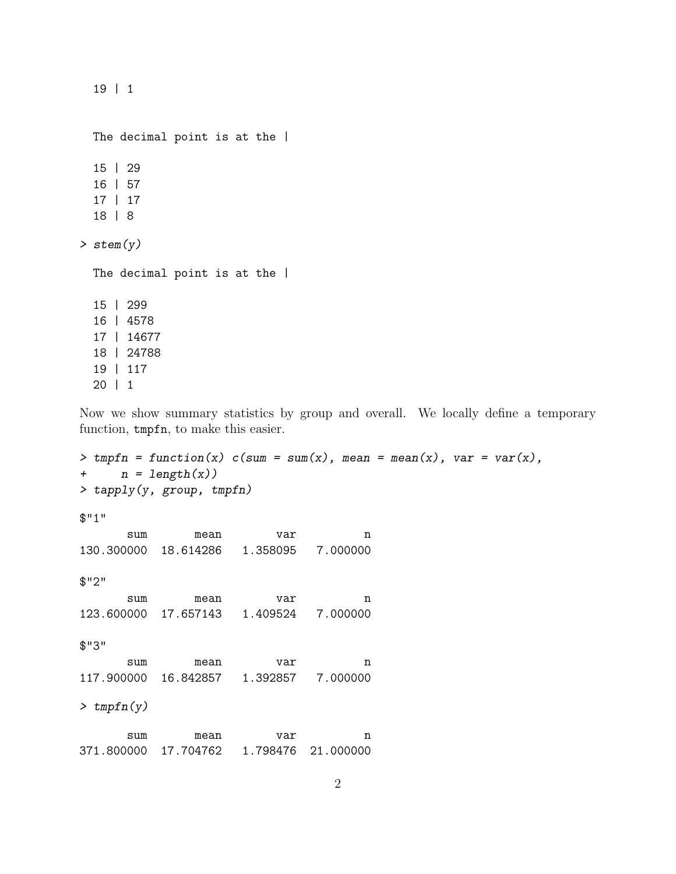19 | 1

The decimal point is at the | 15 | 29 16 | 57 17 | 17 18 | 8 > stem(y) The decimal point is at the | 15 | 299 16 | 4578 17 | 14677 18 | 24788 19 | 117 20 | 1

Now we show summary statistics by group and overall. We locally define a temporary function, tmpfn, to make this easier.

> tmpfn = function(x)  $c(sum = sum(x), mean = mean(x), var = var(x),$ +  $n = length(x)$ > tapply(y, group, tmpfn) \$"1" sum mean var n 130.300000 18.614286 1.358095 7.000000 \$"2" sum mean var n 123.600000 17.657143 1.409524 7.000000 \$"3" sum mean var n 117.900000 16.842857 1.392857 7.000000  $>$  tmpfn(y) sum mean var n 371.800000 17.704762 1.798476 21.000000